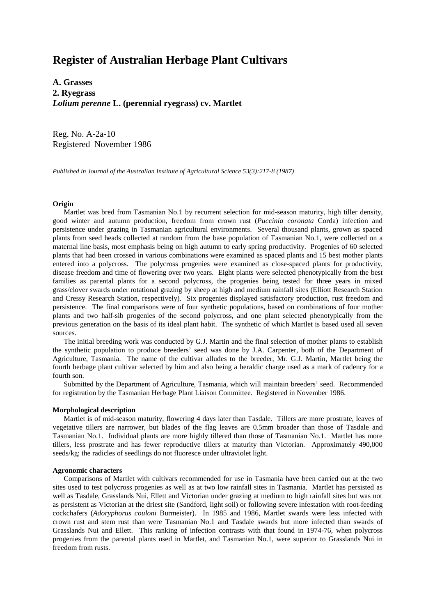# **Register of Australian Herbage Plant Cultivars**

**A. Grasses 2. Ryegrass** *Lolium perenne* **L. (perennial ryegrass) cv. Martlet**

Reg. No. A-2a-10 Registered November 1986

*Published in Journal of the Australian Institute of Agricultural Science 53(3):217-8 (1987)*

## **Origin**

 Martlet was bred from Tasmanian No.1 by recurrent selection for mid-season maturity, high tiller density, good winter and autumn production, freedom from crown rust (*Puccinia coronata* Corda) infection and persistence under grazing in Tasmanian agricultural environments. Several thousand plants, grown as spaced plants from seed heads collected at random from the base population of Tasmanian No.1, were collected on a maternal line basis, most emphasis being on high autumn to early spring productivity. Progenies of 60 selected plants that had been crossed in various combinations were examined as spaced plants and 15 best mother plants entered into a polycross. The polycross progenies were examined as close-spaced plants for productivity, disease freedom and time of flowering over two years. Eight plants were selected phenotypically from the best families as parental plants for a second polycross, the progenies being tested for three years in mixed grass/clover swards under rotational grazing by sheep at high and medium rainfall sites (Elliott Research Station and Cressy Research Station, respectively). Six progenies displayed satisfactory production, rust freedom and persistence. The final comparisons were of four synthetic populations, based on combinations of four mother plants and two half-sib progenies of the second polycross, and one plant selected phenotypically from the previous generation on the basis of its ideal plant habit. The synthetic of which Martlet is based used all seven sources.

 The initial breeding work was conducted by G.J. Martin and the final selection of mother plants to establish the synthetic population to produce breeders' seed was done by J.A. Carpenter, both of the Department of Agriculture, Tasmania. The name of the cultivar alludes to the breeder, Mr. G.J. Martin, Martlet being the fourth herbage plant cultivar selected by him and also being a heraldic charge used as a mark of cadency for a fourth son.

 Submitted by the Department of Agriculture, Tasmania, which will maintain breeders' seed. Recommended for registration by the Tasmanian Herbage Plant Liaison Committee. Registered in November 1986.

#### **Morphological description**

 Martlet is of mid-season maturity, flowering 4 days later than Tasdale. Tillers are more prostrate, leaves of vegetative tillers are narrower, but blades of the flag leaves are 0.5mm broader than those of Tasdale and Tasmanian No.1. Individual plants are more highly tillered than those of Tasmanian No.1. Martlet has more tillers, less prostrate and has fewer reproductive tillers at maturity than Victorian. Approximately 490,000 seeds/kg; the radicles of seedlings do not fluoresce under ultraviolet light.

## **Agronomic characters**

 Comparisons of Martlet with cultivars recommended for use in Tasmania have been carried out at the two sites used to test polycross progenies as well as at two low rainfall sites in Tasmania. Martlet has persisted as well as Tasdale, Grasslands Nui, Ellett and Victorian under grazing at medium to high rainfall sites but was not as persistent as Victorian at the driest site (Sandford, light soil) or following severe infestation with root-feeding cockchafers (*Adoryphorus couloni* Burmeister). In 1985 and 1986, Martlet swards were less infected with crown rust and stem rust than were Tasmanian No.1 and Tasdale swards but more infected than swards of Grasslands Nui and Ellett. This ranking of infection contrasts with that found in 1974-76, when polycross progenies from the parental plants used in Martlet, and Tasmanian No.1, were superior to Grasslands Nui in freedom from rusts.